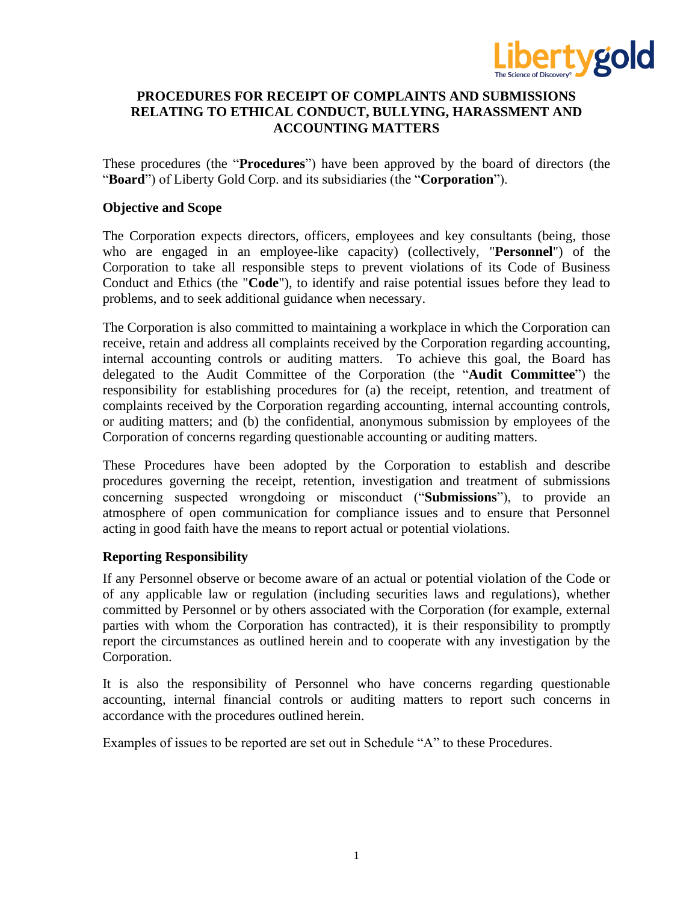

# **PROCEDURES FOR RECEIPT OF COMPLAINTS AND SUBMISSIONS RELATING TO ETHICAL CONDUCT, BULLYING, HARASSMENT AND ACCOUNTING MATTERS**

These procedures (the "**Procedures**") have been approved by the board of directors (the "**Board**") of Liberty Gold Corp. and its subsidiaries (the "**Corporation**").

## **Objective and Scope**

The Corporation expects directors, officers, employees and key consultants (being, those who are engaged in an employee-like capacity) (collectively, "**Personnel**") of the Corporation to take all responsible steps to prevent violations of its Code of Business Conduct and Ethics (the "**Code**"), to identify and raise potential issues before they lead to problems, and to seek additional guidance when necessary.

The Corporation is also committed to maintaining a workplace in which the Corporation can receive, retain and address all complaints received by the Corporation regarding accounting, internal accounting controls or auditing matters. To achieve this goal, the Board has delegated to the Audit Committee of the Corporation (the "**Audit Committee**") the responsibility for establishing procedures for (a) the receipt, retention, and treatment of complaints received by the Corporation regarding accounting, internal accounting controls, or auditing matters; and (b) the confidential, anonymous submission by employees of the Corporation of concerns regarding questionable accounting or auditing matters.

These Procedures have been adopted by the Corporation to establish and describe procedures governing the receipt, retention, investigation and treatment of submissions concerning suspected wrongdoing or misconduct ("**Submissions**"), to provide an atmosphere of open communication for compliance issues and to ensure that Personnel acting in good faith have the means to report actual or potential violations.

## **Reporting Responsibility**

If any Personnel observe or become aware of an actual or potential violation of the Code or of any applicable law or regulation (including securities laws and regulations), whether committed by Personnel or by others associated with the Corporation (for example, external parties with whom the Corporation has contracted), it is their responsibility to promptly report the circumstances as outlined herein and to cooperate with any investigation by the Corporation.

It is also the responsibility of Personnel who have concerns regarding questionable accounting, internal financial controls or auditing matters to report such concerns in accordance with the procedures outlined herein.

Examples of issues to be reported are set out in Schedule "A" to these Procedures.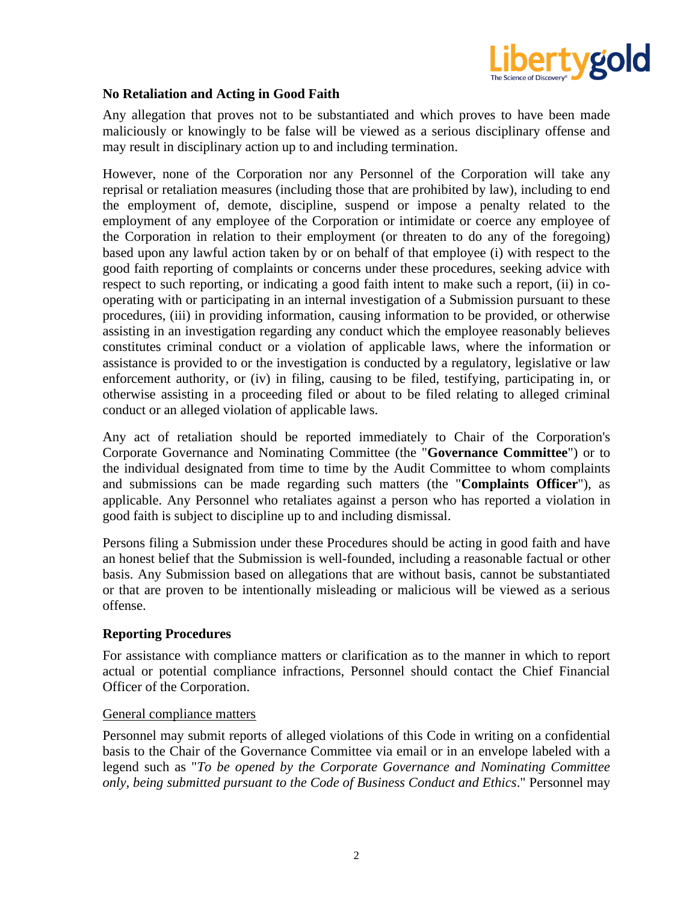

## **No Retaliation and Acting in Good Faith**

Any allegation that proves not to be substantiated and which proves to have been made maliciously or knowingly to be false will be viewed as a serious disciplinary offense and may result in disciplinary action up to and including termination.

However, none of the Corporation nor any Personnel of the Corporation will take any reprisal or retaliation measures (including those that are prohibited by law), including to end the employment of, demote, discipline, suspend or impose a penalty related to the employment of any employee of the Corporation or intimidate or coerce any employee of the Corporation in relation to their employment (or threaten to do any of the foregoing) based upon any lawful action taken by or on behalf of that employee (i) with respect to the good faith reporting of complaints or concerns under these procedures, seeking advice with respect to such reporting, or indicating a good faith intent to make such a report, (ii) in cooperating with or participating in an internal investigation of a Submission pursuant to these procedures, (iii) in providing information, causing information to be provided, or otherwise assisting in an investigation regarding any conduct which the employee reasonably believes constitutes criminal conduct or a violation of applicable laws, where the information or assistance is provided to or the investigation is conducted by a regulatory, legislative or law enforcement authority, or (iv) in filing, causing to be filed, testifying, participating in, or otherwise assisting in a proceeding filed or about to be filed relating to alleged criminal conduct or an alleged violation of applicable laws.

Any act of retaliation should be reported immediately to Chair of the Corporation's Corporate Governance and Nominating Committee (the "**Governance Committee**") or to the individual designated from time to time by the Audit Committee to whom complaints and submissions can be made regarding such matters (the "**Complaints Officer**"), as applicable. Any Personnel who retaliates against a person who has reported a violation in good faith is subject to discipline up to and including dismissal.

Persons filing a Submission under these Procedures should be acting in good faith and have an honest belief that the Submission is well-founded, including a reasonable factual or other basis. Any Submission based on allegations that are without basis, cannot be substantiated or that are proven to be intentionally misleading or malicious will be viewed as a serious offense.

## **Reporting Procedures**

For assistance with compliance matters or clarification as to the manner in which to report actual or potential compliance infractions, Personnel should contact the Chief Financial Officer of the Corporation.

#### General compliance matters

Personnel may submit reports of alleged violations of this Code in writing on a confidential basis to the Chair of the Governance Committee via email or in an envelope labeled with a legend such as "*To be opened by the Corporate Governance and Nominating Committee only, being submitted pursuant to the Code of Business Conduct and Ethics*." Personnel may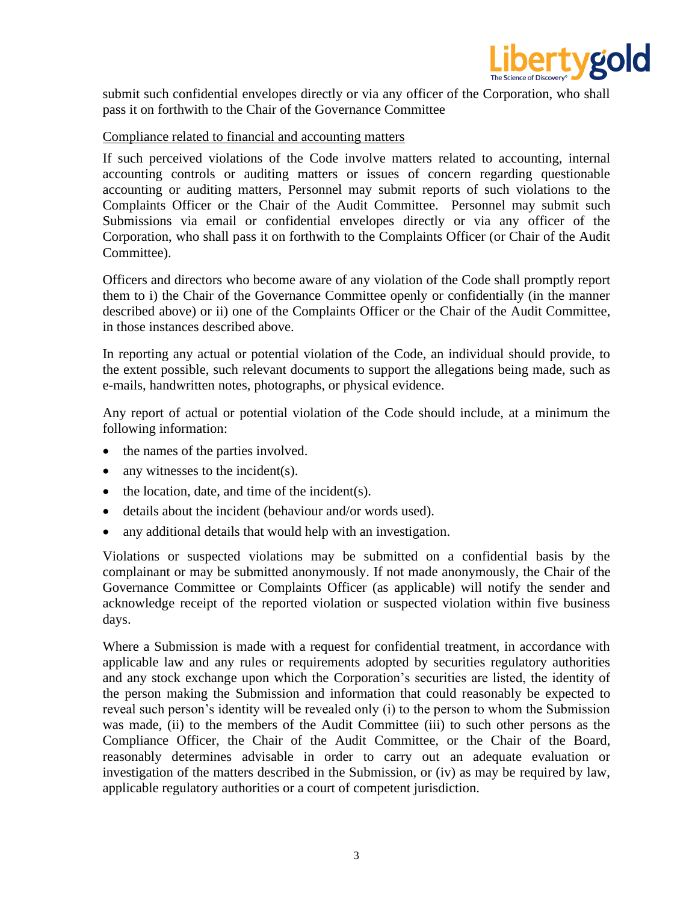

submit such confidential envelopes directly or via any officer of the Corporation, who shall pass it on forthwith to the Chair of the Governance Committee

#### Compliance related to financial and accounting matters

If such perceived violations of the Code involve matters related to accounting, internal accounting controls or auditing matters or issues of concern regarding questionable accounting or auditing matters, Personnel may submit reports of such violations to the Complaints Officer or the Chair of the Audit Committee. Personnel may submit such Submissions via email or confidential envelopes directly or via any officer of the Corporation, who shall pass it on forthwith to the Complaints Officer (or Chair of the Audit Committee).

Officers and directors who become aware of any violation of the Code shall promptly report them to i) the Chair of the Governance Committee openly or confidentially (in the manner described above) or ii) one of the Complaints Officer or the Chair of the Audit Committee, in those instances described above.

In reporting any actual or potential violation of the Code, an individual should provide, to the extent possible, such relevant documents to support the allegations being made, such as e-mails, handwritten notes, photographs, or physical evidence.

Any report of actual or potential violation of the Code should include, at a minimum the following information:

- the names of the parties involved.
- any witnesses to the incident(s).
- the location, date, and time of the incident(s).
- details about the incident (behaviour and/or words used).
- any additional details that would help with an investigation.

Violations or suspected violations may be submitted on a confidential basis by the complainant or may be submitted anonymously. If not made anonymously, the Chair of the Governance Committee or Complaints Officer (as applicable) will notify the sender and acknowledge receipt of the reported violation or suspected violation within five business days.

Where a Submission is made with a request for confidential treatment, in accordance with applicable law and any rules or requirements adopted by securities regulatory authorities and any stock exchange upon which the Corporation's securities are listed, the identity of the person making the Submission and information that could reasonably be expected to reveal such person's identity will be revealed only (i) to the person to whom the Submission was made, (ii) to the members of the Audit Committee (iii) to such other persons as the Compliance Officer, the Chair of the Audit Committee, or the Chair of the Board, reasonably determines advisable in order to carry out an adequate evaluation or investigation of the matters described in the Submission, or (iv) as may be required by law, applicable regulatory authorities or a court of competent jurisdiction.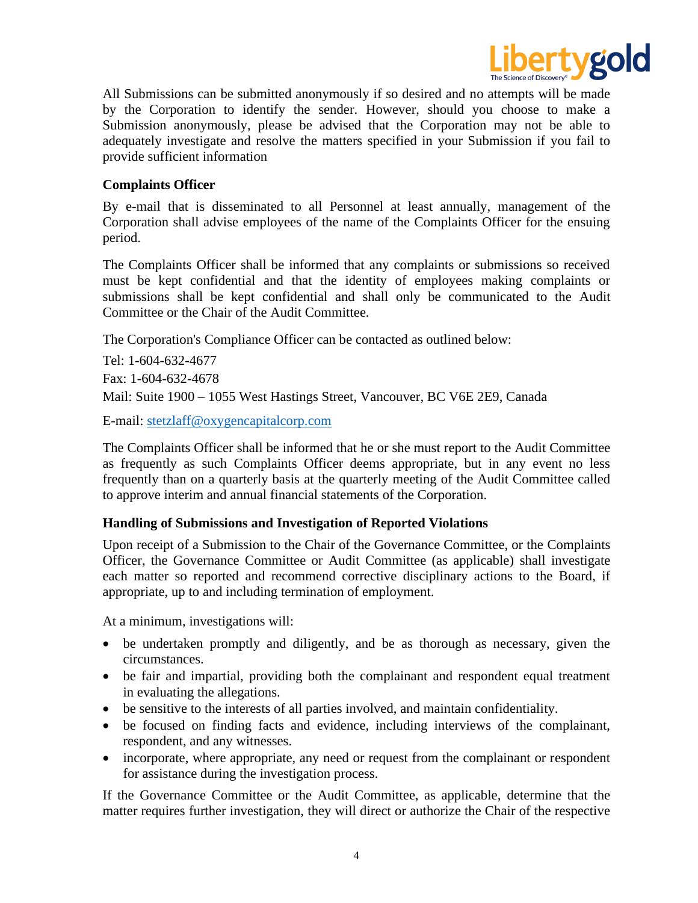

All Submissions can be submitted anonymously if so desired and no attempts will be made by the Corporation to identify the sender. However, should you choose to make a Submission anonymously, please be advised that the Corporation may not be able to adequately investigate and resolve the matters specified in your Submission if you fail to provide sufficient information

## **Complaints Officer**

By e-mail that is disseminated to all Personnel at least annually, management of the Corporation shall advise employees of the name of the Complaints Officer for the ensuing period.

The Complaints Officer shall be informed that any complaints or submissions so received must be kept confidential and that the identity of employees making complaints or submissions shall be kept confidential and shall only be communicated to the Audit Committee or the Chair of the Audit Committee.

The Corporation's Compliance Officer can be contacted as outlined below:

Tel: 1-604-632-4677 Fax: 1-604-632-4678 Mail: Suite 1900 – 1055 West Hastings Street, Vancouver, BC V6E 2E9, Canada

E-mail: [stetzlaff@oxygencapitalcorp.com](mailto:stetzlaff@oxygencapitalcorp.com)

The Complaints Officer shall be informed that he or she must report to the Audit Committee as frequently as such Complaints Officer deems appropriate, but in any event no less frequently than on a quarterly basis at the quarterly meeting of the Audit Committee called to approve interim and annual financial statements of the Corporation.

## **Handling of Submissions and Investigation of Reported Violations**

Upon receipt of a Submission to the Chair of the Governance Committee, or the Complaints Officer, the Governance Committee or Audit Committee (as applicable) shall investigate each matter so reported and recommend corrective disciplinary actions to the Board, if appropriate, up to and including termination of employment.

At a minimum, investigations will:

- be undertaken promptly and diligently, and be as thorough as necessary, given the circumstances.
- be fair and impartial, providing both the complainant and respondent equal treatment in evaluating the allegations.
- be sensitive to the interests of all parties involved, and maintain confidentiality.
- be focused on finding facts and evidence, including interviews of the complainant, respondent, and any witnesses.
- incorporate, where appropriate, any need or request from the complainant or respondent for assistance during the investigation process.

If the Governance Committee or the Audit Committee, as applicable, determine that the matter requires further investigation, they will direct or authorize the Chair of the respective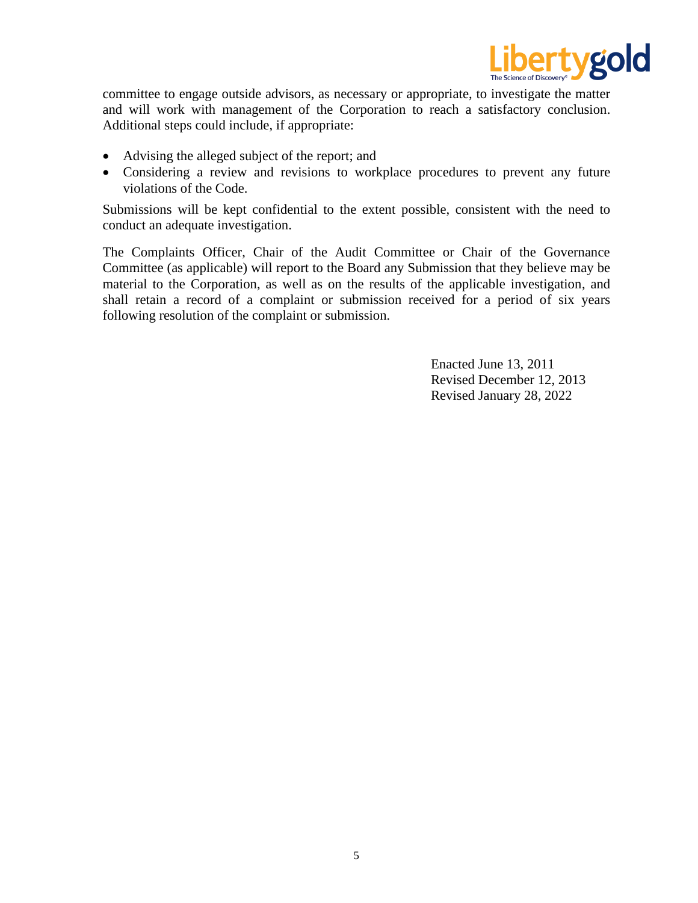

committee to engage outside advisors, as necessary or appropriate, to investigate the matter and will work with management of the Corporation to reach a satisfactory conclusion. Additional steps could include, if appropriate:

- Advising the alleged subject of the report; and
- Considering a review and revisions to workplace procedures to prevent any future violations of the Code.

Submissions will be kept confidential to the extent possible, consistent with the need to conduct an adequate investigation.

The Complaints Officer, Chair of the Audit Committee or Chair of the Governance Committee (as applicable) will report to the Board any Submission that they believe may be material to the Corporation, as well as on the results of the applicable investigation, and shall retain a record of a complaint or submission received for a period of six years following resolution of the complaint or submission.

> Enacted June 13, 2011 Revised December 12, 2013 Revised January 28, 2022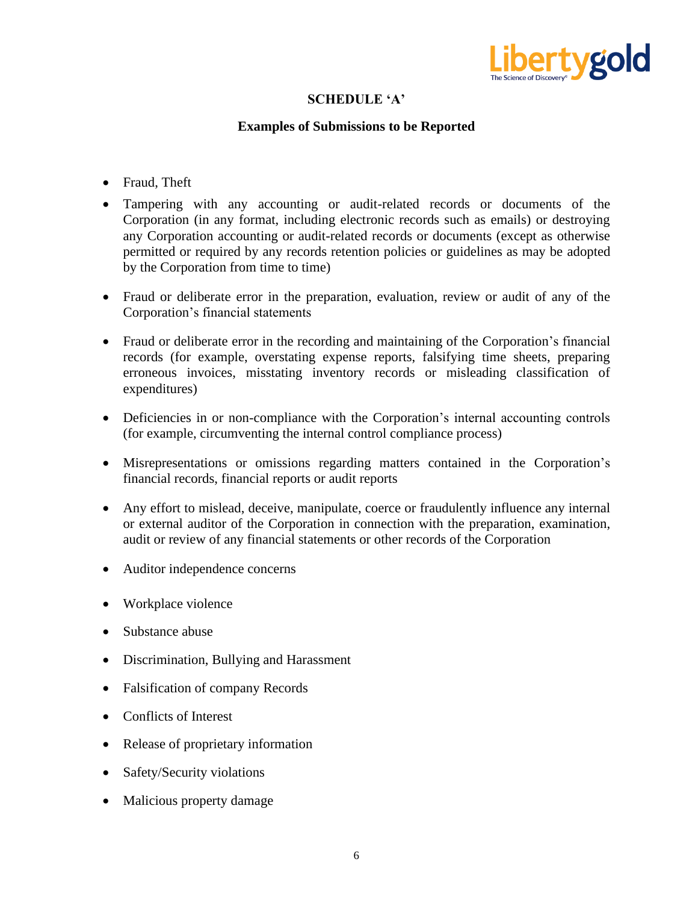

# **SCHEDULE 'A'**

## **Examples of Submissions to be Reported**

- Fraud, Theft
- Tampering with any accounting or audit-related records or documents of the Corporation (in any format, including electronic records such as emails) or destroying any Corporation accounting or audit-related records or documents (except as otherwise permitted or required by any records retention policies or guidelines as may be adopted by the Corporation from time to time)
- Fraud or deliberate error in the preparation, evaluation, review or audit of any of the Corporation's financial statements
- Fraud or deliberate error in the recording and maintaining of the Corporation's financial records (for example, overstating expense reports, falsifying time sheets, preparing erroneous invoices, misstating inventory records or misleading classification of expenditures)
- Deficiencies in or non-compliance with the Corporation's internal accounting controls (for example, circumventing the internal control compliance process)
- Misrepresentations or omissions regarding matters contained in the Corporation's financial records, financial reports or audit reports
- Any effort to mislead, deceive, manipulate, coerce or fraudulently influence any internal or external auditor of the Corporation in connection with the preparation, examination, audit or review of any financial statements or other records of the Corporation
- Auditor independence concerns
- Workplace violence
- Substance abuse
- Discrimination, Bullying and Harassment
- Falsification of company Records
- Conflicts of Interest
- Release of proprietary information
- Safety/Security violations
- Malicious property damage